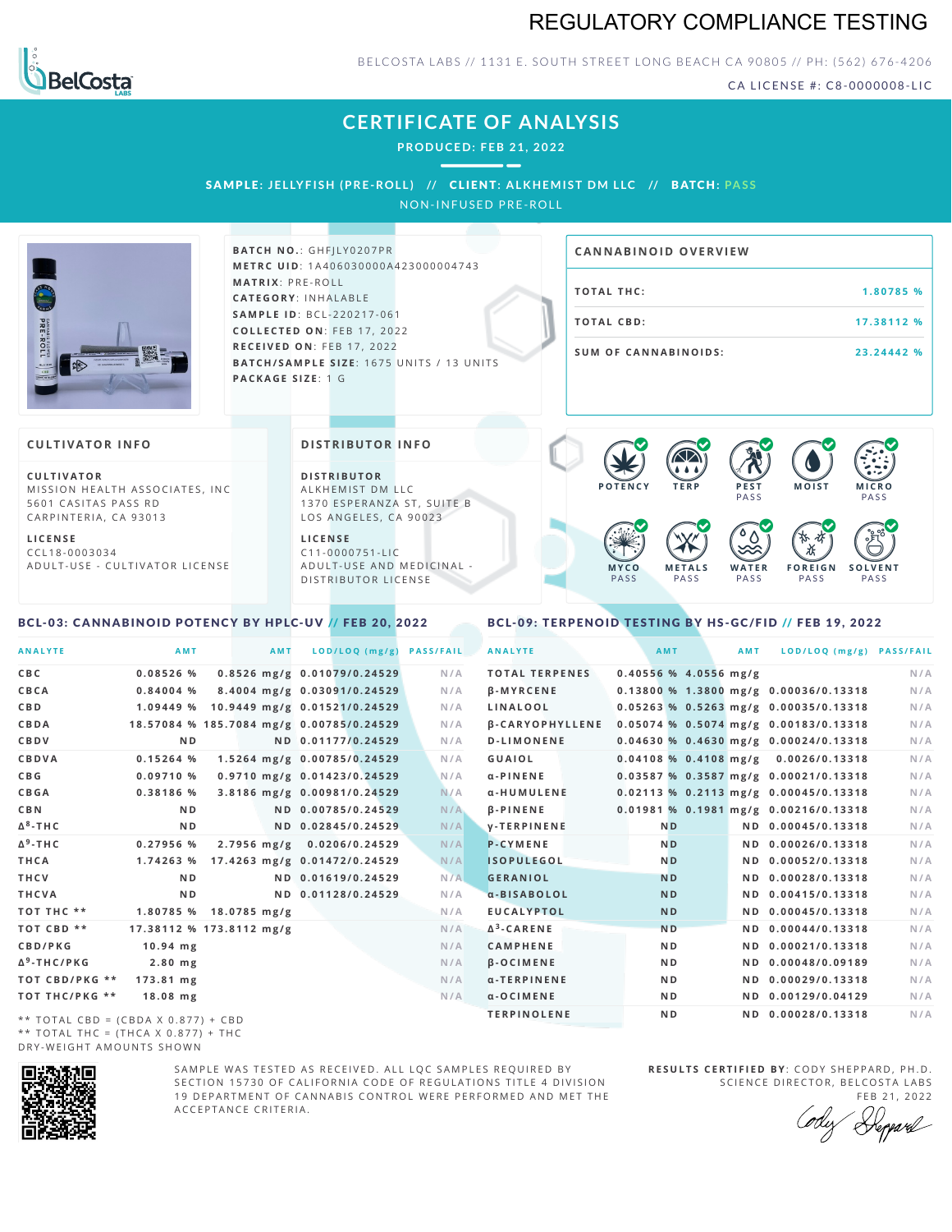## REGULATORY COMPLIANCE TESTING



BELCOSTA LABS // 1131 E. SOUTH STREET LONG BEACH CA 90805 // PH: (562) 676-4206

CA LICENSE #: C8-0000008-LIC

**M O IS T M IC R O PASS** 

**S O L V E N T** PA S S

## **CERTIFICATE OF ANALYSIS**

**PRODUCED: F EB 21, 2022**

SAMPLE: JELLYFISH (PRE-ROLL) // CLIENT: ALKHEMIST DM LLC // BATCH: PASS NON-INFUSED PRE-ROLL

**s** 

**BATCH NO.: GHFJLY0207PR M E T R C U ID** :1 A 4 0 6 0 3 0 0 0 0 A 4 2 3 0 0 0 0 0 4 7 4 3 **M AT R I X** :P R E - R O L L **CAT E G O R Y** : I N H A L A B L E **SA M P L E I D** :B C L - 2 2 0 2 1 7 - 0 6 1 **C O L L E C T E D O N** :F E B 1 7 , 2 0 2 2 **R E C E I V E D O N** : F E B 1 7 , 2 0 2 2 **BATCH/SAMPLE SIZE:** 1675 UNITS / 13 UNITS **PAC KA G E S I Z E** : 1 G

# **TOTAL THC:**  $1.80785%$ **T O TAL CB D :1 7 . 3 8 1 1 2 % S U M O F CA N N ABI N O I D S : 2 3 . 2 4 4 4 2 % CA N N ABI N OID OVERVI EW**

PA S S

 $\bullet$  60 60 60 60

 $\bullet$  0.0 0.0 0.0

**W A T E R** PA S S

**F O R E I G N** PA S S

祇

#### **CULTIVATOR I N FO**

**C U L T I VAT O R** MISSION HEALTH ASSOCIATES, INC. 5601 CASITAS PASS RD CARPINTERIA, CA 93013

**L I C E N S E** C C L 1 8 - 0 0 0 3 0 3 4 A D U L T - U S E - C U L T I V A T O R L I C E N S E

#### **DI STRIBUTOR I N FO**

**D I S T R IB U T O R** ALKHEMIST DM LLC 1370 ESPERANZA ST, SUITE B LOS ANGELES, CA 90023

**L I C E N S E** C 1 1 - 0 0 0 0 7 5 1 - L I C A D U L T - U S E A N D M E D I C I N A L -D ISTRIBUTOR LICENSE

#### <span id="page-0-0"></span>BCL-03: CANNABINOID POTENCY BY HPLC-UV // FEB 20, 2022

#### <span id="page-0-1"></span>BCL-09: TERPENOID TESTING BY HS-GC/FID // FEB 19, 2022

**M E T A L S** PA S S

**M Y C O** PA S S

**P O T E N C Y T E R P P E S T**

| <b>ANALYTE</b>                      | AMT                                      | <b>AMT</b> | LOD/LOQ (mg/g)               | <b>PASS/FAIL</b> | <b>ANALYTE</b>         | AMT            |                         | AMT | LOD/LOQ (mg/g) PASS/FAIL                |     |
|-------------------------------------|------------------------------------------|------------|------------------------------|------------------|------------------------|----------------|-------------------------|-----|-----------------------------------------|-----|
| C B C                               | 0.08526%                                 |            | 0.8526 mg/g 0.01079/0.24529  | N/A              | <b>TOTAL TERPENES</b>  |                | $0.40556$ % 4.0556 mg/g |     |                                         | N/A |
| CBCA                                | $0.84004$ %                              |            | 8.4004 mg/g 0.03091/0.24529  | N/A              | <b>B-MYRCENE</b>       |                |                         |     | 0.13800 % 1.3800 mg/g 0.00036/0.13318   | N/A |
| C B D                               | 1.09449 %                                |            | 10.9449 mg/g 0.01521/0.24529 | N/A              | <b>LINALOOL</b>        |                |                         |     | 0.05263 % 0.5263 mg/g 0.00035/0.13318   | N/A |
| CBDA                                | 18.57084 % 185.7084 mg/g 0.00785/0.24529 |            |                              | N/A              | <b>B-CARYOPHYLLENE</b> |                |                         |     | 0.05074 % 0.5074 mg/g 0.00183/0.13318   | N/A |
| <b>CBDV</b>                         | N <sub>D</sub>                           |            | ND 0.01177/0.24529           | N/A              | <b>D-LIMONENE</b>      |                |                         |     | $0.04630$ % 0.4630 mg/g 0.00024/0.13318 | N/A |
| <b>CBDVA</b>                        | 0.15264%                                 |            | 1.5264 mg/g 0.00785/0.24529  | N/A              | GUAIOL                 |                |                         |     | $0.04108$ % 0.4108 mg/g 0.0026/0.13318  | N/A |
| C B G                               | 0.09710%                                 |            | 0.9710 mg/g 0.01423/0.24529  | N/A              | $\alpha$ -PINENE       |                |                         |     | 0.03587 % 0.3587 mg/g 0.00021/0.13318   | N/A |
| <b>CBGA</b>                         | 0.38186 %                                |            | 3.8186 mg/g 0.00981/0.24529  | N/A              | α-HUMULENE             |                |                         |     | 0.02113 % 0.2113 mg/g 0.00045/0.13318   | N/A |
| C B N                               | N <sub>D</sub>                           |            | ND 0.00785/0.24529           | N/A              | $\beta$ -PINENE        |                |                         |     | 0.01981 % 0.1981 mg/g 0.00216/0.13318   | N/A |
| Δ <sup>8</sup> -ΤΗ C                | N <sub>D</sub>                           |            | ND 0.02845/0.24529           | N/A              | <b>V-TERPINENE</b>     | <b>ND</b>      |                         |     | ND 0.00045/0.13318                      | N/A |
| Δ <sup>9</sup> -ΤΗ C                | 0.27956%                                 |            | 2.7956 mg/g 0.0206/0.24529   | N/A              | <b>P-CYMENE</b>        | N <sub>D</sub> |                         |     | ND 0.00026/0.13318                      | N/A |
| THCA                                | 1.74263%                                 |            | 17.4263 mg/g 0.01472/0.24529 | N/A              | <b>ISOPULEGOL</b>      | N <sub>D</sub> |                         |     | ND 0.00052/0.13318                      | N/A |
| THCV                                | N <sub>D</sub>                           |            | ND 0.01619/0.24529           | N/A              | <b>GERANIOL</b>        | <b>ND</b>      |                         |     | ND 0.00028/0.13318                      | N/A |
| THCVA                               | N <sub>D</sub>                           |            | ND 0.01128/0.24529           | N/A              | a-BISABOLOL            | <b>ND</b>      |                         |     | ND 0.00415/0.13318                      | N/A |
| тот тнс **                          | 1.80785 % 18.0785 mg/g                   |            |                              | N/A              | <b>EUCALYPTOL</b>      | <b>ND</b>      |                         |     | ND 0.00045/0.13318                      | N/A |
| TOT CBD **                          | 17.38112 % 173.8112 mg/g                 |            |                              | N/A              | $\Delta^3$ -CARENE     | <b>ND</b>      |                         |     | ND 0.00044/0.13318                      | N/A |
| <b>CBD/PKG</b>                      | $10.94$ mg                               |            |                              | N/A              | <b>CAMPHENE</b>        | N <sub>D</sub> |                         |     | ND 0.00021/0.13318                      | N/A |
| Δ <sup>9</sup> -THC/PKG             | $2.80$ mg                                |            |                              | N/A              | <b>B-OCIMENE</b>       | N <sub>D</sub> |                         |     | ND 0.00048/0.09189                      | N/A |
| ТОТ СВD/РКG **                      | 173.81 mg                                |            |                              | N/A              | α-TERPINENE            | N <sub>D</sub> |                         |     | ND 0.00029/0.13318                      | N/A |
| ТОТ ТНС/РКG **                      | $18.08$ mg                               |            |                              | N/A              | $a$ -OCIMENE           | N <sub>D</sub> |                         |     | ND 0.00129/0.04129                      | N/A |
| ** TOTAL CRD - (CRDA V 0 977) + CRD |                                          |            |                              |                  | <b>TERPINOLENE</b>     | N <sub>D</sub> |                         |     | ND 0.00028/0.13318                      | N/A |

\*\* TOTAL CBD =  $(CBDA X 0.877) + CBD$ \*\* TOTAL THC =  $(THCA X 0.877) + THC$ DRY-WEIGHT AMOUNTS SHOWN



SAMPLE WAS TESTED AS RECEIVED. ALL LOC SAMPLES REQUIRED BY SECTION 15730 OF CALIFORNIA CODE OF REGULATIONS TITLE 4 DIVISION 19 DEPARTMENT OF CANNABIS CONTROL WERE PERFORMED AND MET THE A C C E P T A N C E C R I T E R I A .

**R E S U L T S C E R T I F I E D BY** : C O D Y S H E P P A R D ,P H .D . SCIENCE DIRECTOR, BELCOSTA LABS

FEB 21, 2022 Heppard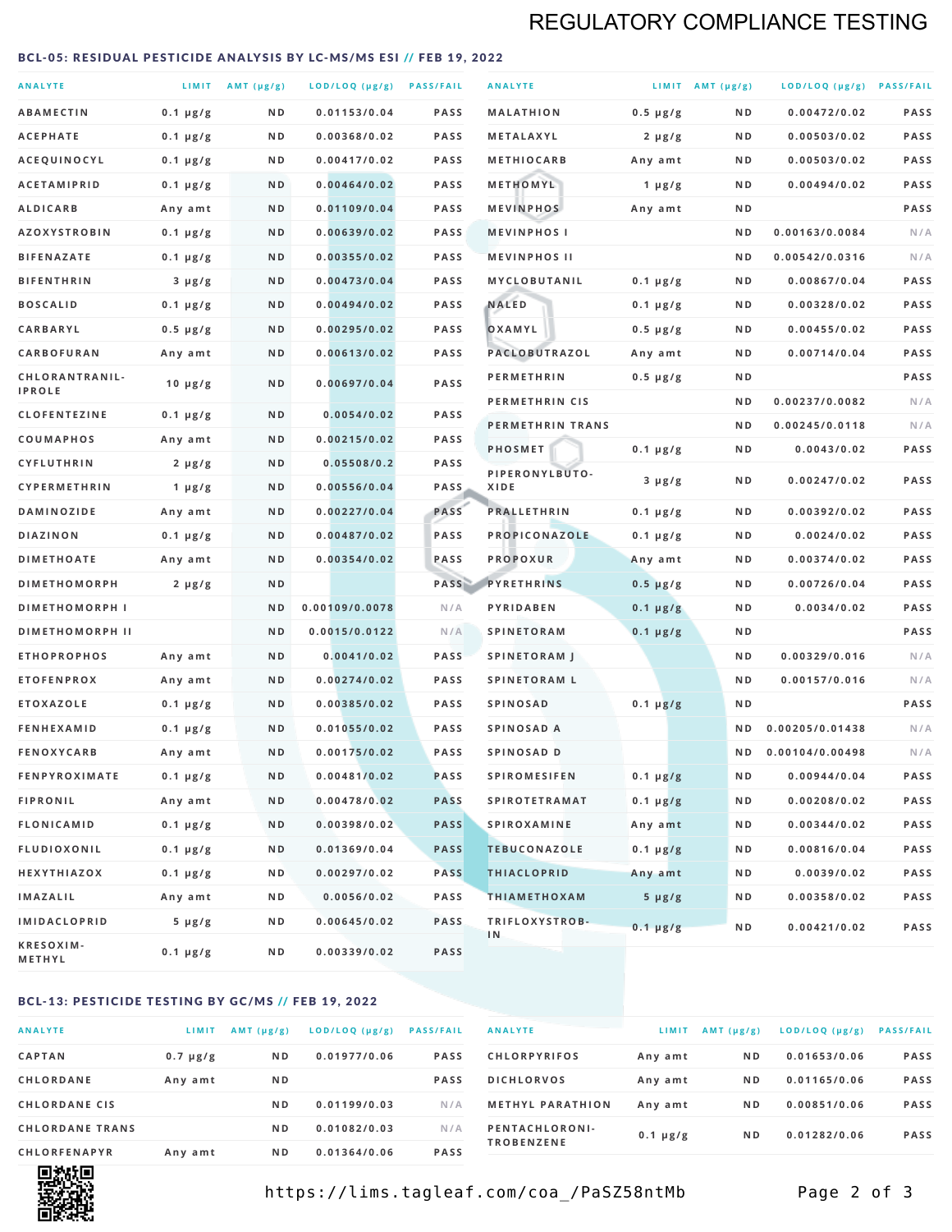## REGULATORY COMPLIANCE TESTING

#### <span id="page-1-0"></span>BCL-05: RESIDUAL PESTICIDE ANALYSIS BY LC-MS/MS ESI // FEB 19, 2022

| <b>ANALYTE</b>                  |                  | LIMIT $AMT (\mu g/g)$ | LOD/LOQ (µg/g) PASS/FAIL |             | <b>ANALYTE</b>         |               | LIMIT AMT $(\mu g/g)$ | LOD/LOQ (µg/g) PASS/FAIL |             |
|---------------------------------|------------------|-----------------------|--------------------------|-------------|------------------------|---------------|-----------------------|--------------------------|-------------|
| <b>ABAMECTIN</b>                | $0.1 \mu g/g$    | N D                   | 0.01153/0.04             | <b>PASS</b> | <b>MALATHION</b>       | $0.5 \mu g/g$ | N D                   | 0.00472/0.02             | <b>PASS</b> |
| <b>ACEPHATE</b>                 | $0.1 \mu g/g$    | N D                   | 0.00368/0.02             | PASS        | <b>METALAXYL</b>       | $2 \mu g/g$   | N D                   | 0.00503/0.02             | PASS        |
| ACEQUINOCYL                     | $0.1 \mu g/g$    | N D                   | 0.00417/0.02             | <b>PASS</b> | <b>METHIOCARB</b>      | Any amt       | N D                   | 0.00503/0.02             | PASS        |
| <b>ACETAMIPRID</b>              | $0.1 \mu g/g$    | N D                   | 0.00464/0.02             | <b>PASS</b> | METHOMYL               | 1 $\mu$ g/g   | N D                   | 0.00494/0.02             | PASS        |
| <b>ALDICARB</b>                 | Any amt          | N D                   | 0.01109/0.04             | <b>PASS</b> | <b>MEVINPHOS</b>       | Any amt       | N D                   |                          | PASS        |
| <b>AZOXYSTROBIN</b>             | $0.1 \mu g/g$    | N D                   | 0.00639/0.02             | PASS        | <b>MEVINPHOSI</b>      |               | N D                   | 0.00163/0.0084           | N/A         |
| <b>BIFENAZATE</b>               | $0.1 \mu g/g$    | N D                   | 0.00355/0.02             | <b>PASS</b> | <b>MEVINPHOS II</b>    |               | N D                   | 0.00542/0.0316           | N/A         |
| <b>BIFENTHRIN</b>               | $3 \mu g/g$      | N D                   | 0.00473/0.04             | <b>PASS</b> | MYCLOBUTANIL           | $0.1 \mu g/g$ | N D                   | 0.00867/0.04             | PASS        |
| <b>BOSCALID</b>                 | $0.1 \mu g/g$    | N D                   | 0.00494/0.02             | <b>PASS</b> | <b>NALED</b>           | $0.1 \mu g/g$ | N D                   | 0.00328/0.02             | PASS        |
| CARBARYL                        | $0.5 \mu g/g$    | N D                   | 0.00295/0.02             | PASS        | OXAMYL                 | $0.5 \mu g/g$ | N D                   | 0.00455/0.02             | PASS        |
| CARBOFURAN                      | Any amt          | N D                   | 0.00613/0.02             | <b>PASS</b> | <b>PACLOBUTRAZOL</b>   | Any amt       | N D                   | 0.00714/0.04             | PASS        |
| CHLORANTRANIL-<br><b>IPROLE</b> | $10 \mu g/g$     | N D                   | 0.00697/0.04             | PASS        | <b>PERMETHRIN</b>      | $0.5 \mu g/g$ | N D                   |                          | PASS        |
| <b>CLOFENTEZINE</b>             | $0.1 \mu g/g$    | N D                   | 0.0054/0.02              | <b>PASS</b> | PERMETHRIN CIS         |               | N D                   | 0.00237/0.0082           | N/A         |
| <b>COUMAPHOS</b>                | Any amt          | N D                   | 0.00215/0.02             | <b>PASS</b> | PERMETHRIN TRANS       |               | N D                   | 0.00245/0.0118           | N/A         |
| <b>CYFLUTHRIN</b>               | $2 \mu g/g$      | N D                   | 0.05508/0.2              | <b>PASS</b> | <b>PHOSMET</b>         | $0.1 \mu g/g$ | N D                   | 0.0043/0.02              | PASS        |
| <b>CYPERMETHRIN</b>             | 1 $\mu$ g/g      | ND                    | 0.00556/0.04             | <b>PASS</b> | PIPERONYLBUTO-<br>XIDE | $3 \mu g/g$   | N D                   | 0.00247/0.02             | PASS        |
| <b>DAMINOZIDE</b>               | Any amt          | N D                   | 0.00227/0.04             | PASS        | <b>PRALLETHRIN</b>     | $0.1 \mu g/g$ | N D                   | 0.00392/0.02             | PASS        |
| DIAZINON                        | $0.1 \mu g/g$    | N D                   | 0.00487/0.02             | PASS        | PROPICONAZOLE          | $0.1 \mu g/g$ | N D                   | 0.0024/0.02              | PASS        |
| <b>DIMETHOATE</b>               | Any amt          | N D                   | 0.00354/0.02             | PASS        | <b>PROPOXUR</b>        | Any amt       | N D                   | 0.00374/0.02             | PASS        |
| <b>DIMETHOMORPH</b>             | $2 \mu g/g$      | N D                   |                          | PASS        | <b>PYRETHRINS</b>      | $0.5 \mu g/g$ | N D                   | 0.00726/0.04             | PASS        |
| <b>DIMETHOMORPH I</b>           |                  | N D                   | 0.00109/0.0078           | N/A         | PYRIDABEN              | $0.1 \mu g/g$ | N D                   | 0.0034/0.02              | PASS        |
| <b>DIMETHOMORPH II</b>          |                  | ND                    | 0.0015/0.0122            | N/A         | <b>SPINETORAM</b>      | $0.1 \mu g/g$ | N D                   |                          | PASS        |
| <b>ETHOPROPHOS</b>              | Any amt          | N D                   | 0.0041/0.02              | <b>PASS</b> | <b>SPINETORAM J</b>    |               | N D                   | 0.00329/0.016            | N/A         |
| <b>ETOFENPROX</b>               | Any amt          | N D                   | 0.00274/0.02             | PASS        | <b>SPINETORAM L</b>    |               | N D                   | 0.00157/0.016            | N/A         |
| <b>ETOXAZOLE</b>                | $0.1 \mu g/g$    | N D                   | 0.00385/0.02             | <b>PASS</b> | <b>SPINOSAD</b>        | $0.1 \mu g/g$ | N D                   |                          | PASS        |
| <b>FENHEXAMID</b>               | $0.1 \mu g/g$    | N D                   | 0.01055/0.02             | <b>PASS</b> | SPINOSAD A             |               | N D                   | 0.00205/0.01438          | N/A         |
| <b>FENOXYCARB</b>               | Any amt          | N D                   | 0.00175/0.02             | <b>PASS</b> | SPINOSAD D             |               | N D                   | 0.00104/0.00498          | N/A         |
| <b>FENPYROXIMATE</b>            | $0.1 \mu g/g$    | N D                   | 0.00481/0.02             | PASS        | <b>SPIROMESIFEN</b>    | $0.1 \mu g/g$ | N D                   | 0.00944/0.04             | PASS        |
| <b>FIPRONIL</b>                 | Any amt          | N D                   | 0.00478/0.02             | <b>PASS</b> | <b>SPIROTETRAMAT</b>   | $0.1 \mu g/g$ | N D                   | 0.00208/0.02             | PASS        |
| FLONICAMID                      | $0.1 \mu g/g$    | N D                   | 0.00398/0.02             | <b>PASS</b> | <b>SPIROXAMINE</b>     | Any amt       | N D                   | 0.00344/0.02             | PASS        |
| <b>FLUDIOXONIL</b>              | $0.1 \mu g/g$    | N D                   | 0.01369/0.04             | <b>PASS</b> | <b>TEBUCONAZOLE</b>    | $0.1 \mu g/g$ | N D                   | 0.00816/0.04             | PASS        |
| HEXYTHIAZOX                     | $0.1 \, \mu g/g$ | N D                   | 0.00297/0.02             | <b>PASS</b> | <b>THIACLOPRID</b>     | Any amt       | N D                   | 0.0039/0.02              | PASS        |
| <b>IMAZALIL</b>                 | Any amt          | N D                   | 0.0056/0.02              | PASS        | <b>THIAMETHOXAM</b>    | $5 \mu g/g$   | N D                   | 0.00358/0.02             | PASS        |
| <b>IMIDACLOPRID</b>             | $5 \mu g/g$      | N D                   | 0.00645/0.02             | <b>PASS</b> | TRIFLOXYSTROB-         | $0.1 \mu g/g$ | N D                   | 0.00421/0.02             | PASS        |
| KRESOXIM-<br><b>METHYL</b>      | $0.1 \mu g/g$    | N D                   | 0.00339/0.02             | <b>PASS</b> | 1N                     |               |                       |                          |             |

#### BCL-13: PESTICIDE TESTING BY GC/MS // FEB 19, 2022

| <b>ANALYTE</b>         | LIMIT         | $AMT$ ( $\mu g/g$ ) | $LOD/LOQ$ ( $\mu g/g$ ) | <b>PASS/FAIL</b> |
|------------------------|---------------|---------------------|-------------------------|------------------|
| <b>CAPTAN</b>          | $0.7 \mu g/g$ | N <sub>D</sub>      | 0.01977/0.06            | <b>PASS</b>      |
| CHLORDANE              | Any amt       | N <sub>D</sub>      |                         | <b>PASS</b>      |
| <b>CHLORDANE CIS</b>   |               | N <sub>D</sub>      | 0.01199/0.03            | N/A              |
| <b>CHLORDANE TRANS</b> |               | N <sub>D</sub>      | 0.01082/0.03            | N/A              |
| <b>CHLORFENAPYR</b>    | Any amt       | N <sub>D</sub>      | 0.01364/0.06            | <b>PASS</b>      |

| <b>ANALYTE</b>                      | LIMIT         | $AMT (\mu g/g)$ | $LOD/LOQ$ ( $\mu g/g$ ) | <b>PASS/FAIL</b> |
|-------------------------------------|---------------|-----------------|-------------------------|------------------|
| <b>CHLORPYRIFOS</b>                 | Any amt       | N <sub>D</sub>  | 0.01653/0.06            | <b>PASS</b>      |
| <b>DICHLORVOS</b>                   | Any amt       | N <sub>D</sub>  | 0.01165/0.06            | <b>PASS</b>      |
| <b>METHYL PARATHION</b>             | Any amt       | N <sub>D</sub>  | 0.00851/0.06            | <b>PASS</b>      |
| PENTACHLORONI-<br><b>TROBENZENE</b> | $0.1 \mu g/g$ | N <sub>D</sub>  | 0.01282/0.06            | <b>PASS</b>      |